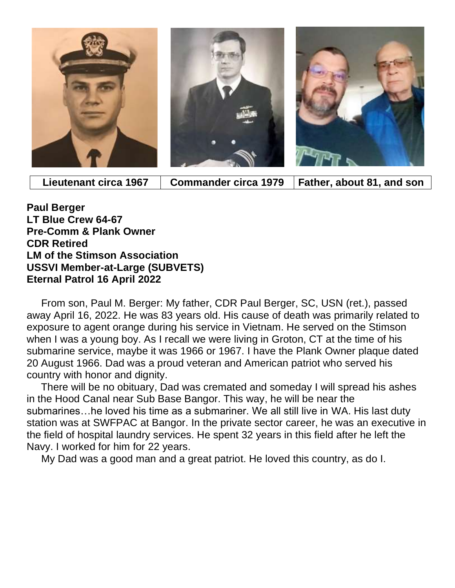

 **Lieutenant circa 1967 Commander circa 1979 Father, about 81, and son**

**Paul Berger LT Blue Crew 64-67 Pre-Comm & Plank Owner CDR Retired LM of the Stimson Association USSVI Member-at-Large (SUBVETS) Eternal Patrol 16 April 2022**

 From son, Paul M. Berger: My father, CDR Paul Berger, SC, USN (ret.), passed away April 16, 2022. He was 83 years old. His cause of death was primarily related to exposure to agent orange during his service in Vietnam. He served on the Stimson when I was a young boy. As I recall we were living in Groton, CT at the time of his submarine service, maybe it was 1966 or 1967. I have the Plank Owner plaque dated 20 August 1966. Dad was a proud veteran and American patriot who served his country with honor and dignity.

 There will be no obituary, Dad was cremated and someday I will spread his ashes in the Hood Canal near Sub Base Bangor. This way, he will be near the submarines…he loved his time as a submariner. We all still live in WA. His last duty station was at SWFPAC at Bangor. In the private sector career, he was an executive in the field of hospital laundry services. He spent 32 years in this field after he left the Navy. I worked for him for 22 years.

My Dad was a good man and a great patriot. He loved this country, as do I.